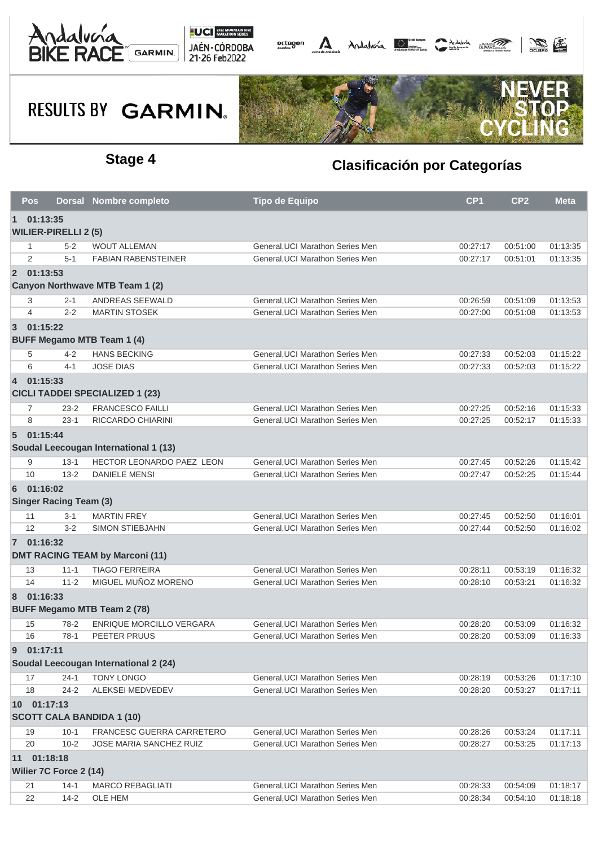





|                | <b>Pos</b>                              |                               | Dorsal Nombre completo                 | <b>Tipo de Equipo</b>            | CP <sub>1</sub> | CP <sub>2</sub> | <b>Meta</b> |  |  |  |
|----------------|-----------------------------------------|-------------------------------|----------------------------------------|----------------------------------|-----------------|-----------------|-------------|--|--|--|
| $\mathbf{1}$   | 01:13:35<br><b>WILIER-PIRELLI 2 (5)</b> |                               |                                        |                                  |                 |                 |             |  |  |  |
|                | -1                                      | $5 - 2$                       | <b>WOUT ALLEMAN</b>                    | General, UCI Marathon Series Men | 00:27:17        | 00:51:00        | 01:13:35    |  |  |  |
|                | 2                                       | $5 - 1$                       | <b>FABIAN RABENSTEINER</b>             | General, UCI Marathon Series Men | 00:27:17        | 00:51:01        | 01:13:35    |  |  |  |
|                | 2 01:13:53                              |                               |                                        |                                  |                 |                 |             |  |  |  |
|                |                                         |                               | Canyon Northwave MTB Team 1 (2)        |                                  |                 |                 |             |  |  |  |
|                | 3                                       | $2 - 1$                       | ANDREAS SEEWALD                        | General, UCI Marathon Series Men | 00:26:59        | 00:51:09        | 01:13:53    |  |  |  |
|                | 4                                       | $2 - 2$                       | <b>MARTIN STOSEK</b>                   | General, UCI Marathon Series Men | 00:27:00        | 00:51:08        | 01:13:53    |  |  |  |
| $\overline{3}$ | 01:15:22                                |                               |                                        |                                  |                 |                 |             |  |  |  |
|                |                                         |                               | <b>BUFF Megamo MTB Team 1 (4)</b>      |                                  |                 |                 |             |  |  |  |
|                | 5                                       | $4 - 2$                       | <b>HANS BECKING</b>                    | General, UCI Marathon Series Men | 00:27:33        | 00:52:03        | 01:15:22    |  |  |  |
|                | 6                                       | $4 - 1$                       | <b>JOSE DIAS</b>                       | General, UCI Marathon Series Men | 00:27:33        | 00:52:03        | 01:15:22    |  |  |  |
|                | 4 01:15:33                              |                               |                                        |                                  |                 |                 |             |  |  |  |
|                |                                         |                               | <b>CICLI TADDEI SPECIALIZED 1 (23)</b> |                                  |                 |                 |             |  |  |  |
|                | 7                                       | $23 - 2$                      | <b>FRANCESCO FAILLI</b>                | General, UCI Marathon Series Men | 00:27:25        | 00:52:16        | 01:15:33    |  |  |  |
|                | 8                                       | $23-1$                        | RICCARDO CHIARINI                      | General, UCI Marathon Series Men | 00:27:25        | 00:52:17        | 01:15:33    |  |  |  |
|                | 5 01:15:44                              |                               | Soudal Leecougan International 1 (13)  |                                  |                 |                 |             |  |  |  |
|                | 9                                       | $13 - 1$                      | HECTOR LEONARDO PAEZ LEON              | General, UCI Marathon Series Men | 00:27:45        | 00:52:26        | 01:15:42    |  |  |  |
|                | 10                                      | $13 - 2$                      | <b>DANIELE MENSI</b>                   | General.UCI Marathon Series Men  | 00:27:47        | 00:52:25        | 01:15:44    |  |  |  |
| 6              | 01:16:02                                |                               |                                        |                                  |                 |                 |             |  |  |  |
|                |                                         | <b>Singer Racing Team (3)</b> |                                        |                                  |                 |                 |             |  |  |  |
|                | 11                                      | $3 - 1$                       | <b>MARTIN FREY</b>                     | General, UCI Marathon Series Men | 00:27:45        | 00:52:50        | 01:16:01    |  |  |  |
|                | 12                                      | $3-2$                         | <b>SIMON STIEBJAHN</b>                 | General, UCI Marathon Series Men | 00:27:44        | 00:52:50        | 01:16:02    |  |  |  |
|                | 7 01:16:32                              |                               | <b>DMT RACING TEAM by Marconi (11)</b> |                                  |                 |                 |             |  |  |  |
|                | 13                                      | $11 - 1$                      | <b>TIAGO FERREIRA</b>                  | General, UCI Marathon Series Men | 00:28:11        | 00:53:19        | 01:16:32    |  |  |  |
|                | 14                                      | $11 - 2$                      | MIGUEL MUÑOZ MORENO                    | General, UCI Marathon Series Men | 00:28:10        | 00:53:21        | 01:16:32    |  |  |  |
| 8              | 01:16:33                                |                               | <b>BUFF Megamo MTB Team 2 (78)</b>     |                                  |                 |                 |             |  |  |  |
|                | 15                                      | 78-2                          | <b>ENRIQUE MORCILLO VERGARA</b>        | General, UCI Marathon Series Men | 00:28:20        | 00:53:09        | 01:16:32    |  |  |  |
|                | 16                                      | $78-1$                        | PEETER PRUUS                           | General. UCI Marathon Series Men | 00:28:20        | 00:53:09        | 01:16:33    |  |  |  |
|                |                                         |                               |                                        |                                  |                 |                 |             |  |  |  |
| 9              | 01:17:11                                |                               | Soudal Leecougan International 2 (24)  |                                  |                 |                 |             |  |  |  |
|                | 17                                      | $24 - 1$                      | <b>TONY LONGO</b>                      | General, UCI Marathon Series Men | 00:28:19        | 00:53:26        | 01:17:10    |  |  |  |
|                | 18                                      | $24 - 2$                      | ALEKSEI MEDVEDEV                       | General, UCI Marathon Series Men | 00:28:20        | 00:53:27        | 01:17:11    |  |  |  |
|                | 10 01:17:13                             |                               |                                        |                                  |                 |                 |             |  |  |  |
|                |                                         |                               | <b>SCOTT CALA BANDIDA 1 (10)</b>       |                                  |                 |                 |             |  |  |  |
|                | 19                                      | $10 - 1$                      | FRANCESC GUERRA CARRETERO              | General, UCI Marathon Series Men | 00:28:26        | 00:53:24        | 01:17:11    |  |  |  |
|                | 20                                      | $10 - 2$                      | <b>JOSE MARIA SANCHEZ RUIZ</b>         | General, UCI Marathon Series Men | 00:28:27        | 00:53:25        | 01:17:13    |  |  |  |
|                | 11 01:18:18                             | Wilier 7C Force 2 (14)        |                                        |                                  |                 |                 |             |  |  |  |
|                | 21                                      | $14-1$                        | <b>MARCO REBAGLIATI</b>                | General, UCI Marathon Series Men | 00:28:33        | 00:54:09        | 01:18:17    |  |  |  |
|                | 22                                      | $14 - 2$                      | OLE HEM                                | General, UCI Marathon Series Men | 00:28:34        | 00:54:10        | 01:18:18    |  |  |  |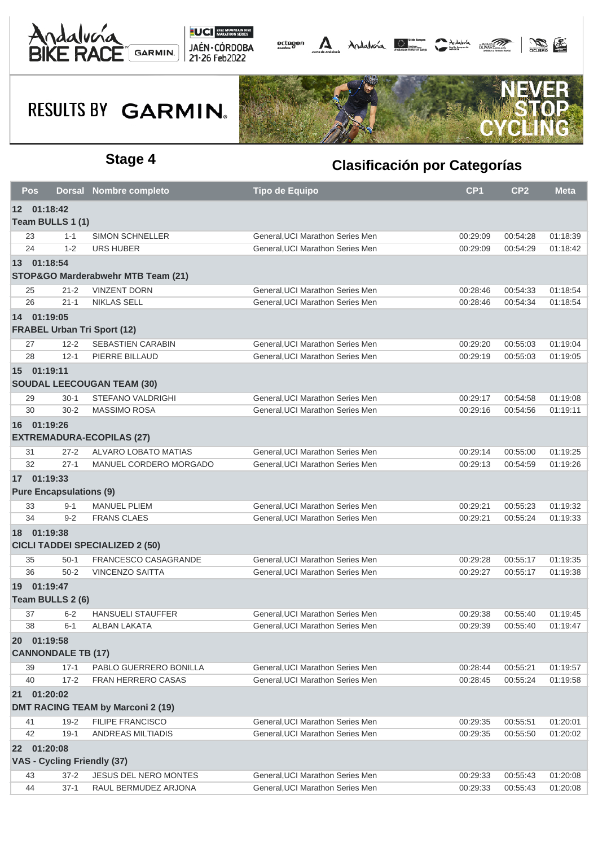





| Pos      |                                    | <b>Dorsal Nombre completo</b>            | <b>Tipo de Equipo</b>                                                | CP <sub>1</sub> | CP <sub>2</sub> | <b>Meta</b> |
|----------|------------------------------------|------------------------------------------|----------------------------------------------------------------------|-----------------|-----------------|-------------|
|          | 12 01:18:42                        |                                          |                                                                      |                 |                 |             |
|          | Team BULLS 1 (1)                   |                                          |                                                                      |                 |                 |             |
| 23       | $1 - 1$                            | <b>SIMON SCHNELLER</b>                   | General, UCI Marathon Series Men                                     | 00:29:09        | 00:54:28        | 01:18:39    |
| 24       | $1 - 2$                            | <b>URS HUBER</b>                         | General, UCI Marathon Series Men                                     | 00:29:09        | 00:54:29        | 01:18:42    |
|          | 13 01:18:54                        |                                          |                                                                      |                 |                 |             |
|          |                                    | STOP&GO Marderabwehr MTB Team (21)       |                                                                      |                 |                 |             |
| 25       | $21 - 2$                           | <b>VINZENT DORN</b>                      | General, UCI Marathon Series Men                                     | 00:28:46        | 00:54:33        | 01:18:54    |
| 26       | $21 - 1$                           | <b>NIKLAS SELL</b>                       | General, UCI Marathon Series Men                                     | 00:28:46        | 00:54:34        | 01:18:54    |
|          | 14 01:19:05                        |                                          |                                                                      |                 |                 |             |
|          | <b>FRABEL Urban Tri Sport (12)</b> |                                          |                                                                      |                 |                 |             |
| 27       | $12 - 2$                           | <b>SEBASTIEN CARABIN</b>                 | General, UCI Marathon Series Men                                     | 00:29:20        | 00:55:03        | 01:19:04    |
| 28       | $12 - 1$                           | PIERRE BILLAUD                           | General, UCI Marathon Series Men                                     | 00:29:19        | 00:55:03        | 01:19:05    |
|          | 15 01:19:11                        |                                          |                                                                      |                 |                 |             |
|          |                                    | <b>SOUDAL LEECOUGAN TEAM (30)</b>        |                                                                      |                 |                 |             |
| 29       | $30-1$                             | <b>STEFANO VALDRIGHI</b>                 | General, UCI Marathon Series Men                                     | 00:29:17        | 00:54:58        | 01:19:08    |
| 30       | $30 - 2$                           | <b>MASSIMO ROSA</b>                      | General, UCI Marathon Series Men                                     | 00:29:16        | 00:54:56        | 01:19:11    |
|          | 16 01:19:26                        |                                          |                                                                      |                 |                 |             |
|          |                                    | <b>EXTREMADURA-ECOPILAS (27)</b>         |                                                                      |                 |                 |             |
| 31       | $27 - 2$                           | ALVARO LOBATO MATIAS                     | General, UCI Marathon Series Men                                     | 00:29:14        | 00:55:00        | 01:19:25    |
| 32       | $27 - 1$                           | MANUEL CORDERO MORGADO                   | General, UCI Marathon Series Men                                     | 00:29:13        | 00:54:59        | 01:19:26    |
|          | 17 01:19:33                        |                                          |                                                                      |                 |                 |             |
|          | <b>Pure Encapsulations (9)</b>     |                                          |                                                                      |                 |                 |             |
| 33       | $9 - 1$                            | <b>MANUEL PLIEM</b>                      | General, UCI Marathon Series Men                                     | 00:29:21        | 00:55:23        | 01:19:32    |
| 34       | $9 - 2$                            | <b>FRANS CLAES</b>                       | General, UCI Marathon Series Men                                     | 00:29:21        | 00:55:24        | 01:19:33    |
|          | 18 01:19:38                        |                                          |                                                                      |                 |                 |             |
|          |                                    | <b>CICLI TADDEI SPECIALIZED 2 (50)</b>   |                                                                      |                 |                 |             |
| 35       | $50-1$                             | FRANCESCO CASAGRANDE                     | General, UCI Marathon Series Men                                     | 00:29:28        | 00:55:17        | 01:19:35    |
| 36       | $50 - 2$                           | <b>VINCENZO SAITTA</b>                   | General, UCI Marathon Series Men                                     | 00:29:27        | 00:55:17        | 01:19:38    |
|          | 19 01:19:47                        |                                          |                                                                      |                 |                 |             |
|          | Team BULLS 2 (6)                   |                                          |                                                                      |                 |                 |             |
| 37       | $6 - 2$                            | <b>HANSUELI STAUFFER</b>                 | General, UCI Marathon Series Men                                     | 00:29:38        | 00:55:40        | 01:19:45    |
| 38       | $6 - 1$                            | <b>ALBAN LAKATA</b>                      | General, UCI Marathon Series Men                                     | 00:29:39        | 00:55:40        | 01:19:47    |
|          | 20 01:19:58                        |                                          |                                                                      |                 |                 |             |
|          | <b>CANNONDALE TB (17)</b>          |                                          |                                                                      |                 |                 |             |
| 39       | $17 - 1$                           | PABLO GUERRERO BONILLA                   | General, UCI Marathon Series Men                                     | 00:28:44        | 00:55:21        | 01:19:57    |
| 40       | $17 - 2$                           | FRAN HERRERO CASAS                       | General, UCI Marathon Series Men                                     | 00:28:45        | 00:55:24        | 01:19:58    |
| 21       | 01:20:02                           |                                          |                                                                      |                 |                 |             |
|          |                                    | <b>DMT RACING TEAM by Marconi 2 (19)</b> |                                                                      |                 |                 |             |
| 41       | $19 - 2$                           | <b>FILIPE FRANCISCO</b>                  | General, UCI Marathon Series Men                                     | 00:29:35        | 00:55:51        | 01:20:01    |
| 42       | $19-1$                             | ANDREAS MILTIADIS                        | General, UCI Marathon Series Men                                     | 00:29:35        | 00:55:50        | 01:20:02    |
|          | 22 01:20:08                        |                                          |                                                                      |                 |                 |             |
|          | VAS - Cycling Friendly (37)        |                                          |                                                                      |                 |                 |             |
|          |                                    |                                          |                                                                      |                 |                 |             |
| 43<br>44 | $37 - 2$<br>$37 - 1$               | <b>JESUS DEL NERO MONTES</b>             | General, UCI Marathon Series Men<br>General, UCI Marathon Series Men | 00:29:33        | 00:55:43        | 01:20:08    |
|          |                                    | RAUL BERMUDEZ ARJONA                     |                                                                      | 00:29:33        | 00:55:43        | 01:20:08    |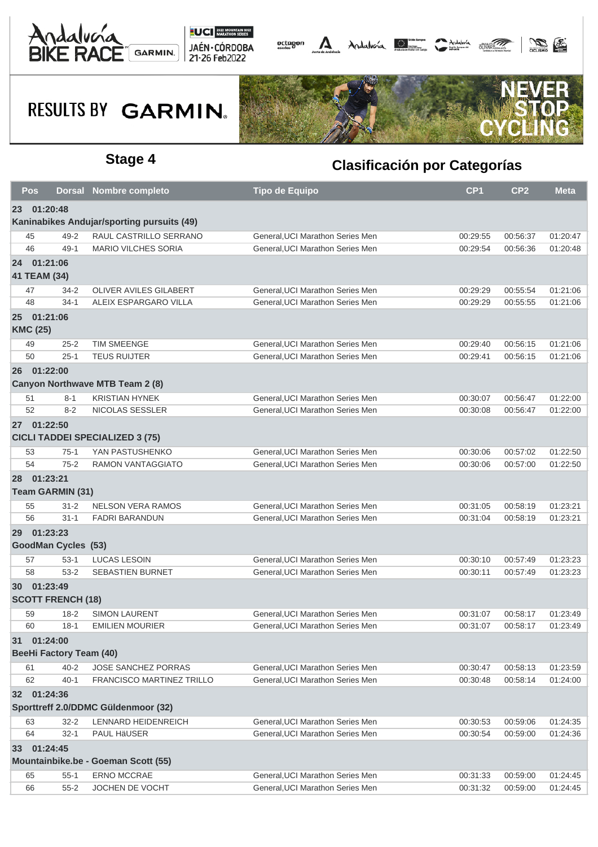





|                                            | <b>Pos</b>      |                                | Dorsal Nombre completo                 | <b>Tipo de Equipo</b>            | CP <sub>1</sub> | CP <sub>2</sub> | <b>Meta</b> |  |  |
|--------------------------------------------|-----------------|--------------------------------|----------------------------------------|----------------------------------|-----------------|-----------------|-------------|--|--|
| 23                                         | 01:20:48        |                                |                                        |                                  |                 |                 |             |  |  |
| Kaninabikes Andujar/sporting pursuits (49) |                 |                                |                                        |                                  |                 |                 |             |  |  |
| 45                                         |                 | $49 - 2$                       | RAUL CASTRILLO SERRANO                 | General, UCI Marathon Series Men | 00:29:55        | 00:56:37        | 01:20:47    |  |  |
| 46                                         |                 | $49-1$                         | MARIO VILCHES SORIA                    | General, UCI Marathon Series Men | 00:29:54        | 00:56:36        | 01:20:48    |  |  |
|                                            | 24 01:21:06     |                                |                                        |                                  |                 |                 |             |  |  |
|                                            | 41 TEAM (34)    |                                |                                        |                                  |                 |                 |             |  |  |
| 47                                         |                 | $34 - 2$                       | OLIVER AVILES GILABERT                 | General, UCI Marathon Series Men | 00:29:29        | 00:55:54        | 01:21:06    |  |  |
|                                            | 48              | $34-1$                         | ALEIX ESPARGARO VILLA                  | General, UCI Marathon Series Men | 00:29:29        | 00:55:55        | 01:21:06    |  |  |
|                                            | 25 01:21:06     |                                |                                        |                                  |                 |                 |             |  |  |
|                                            | <b>KMC (25)</b> |                                |                                        |                                  |                 |                 |             |  |  |
| 49                                         |                 | $25 - 2$                       | <b>TIM SMEENGE</b>                     | General, UCI Marathon Series Men | 00:29:40        | 00:56:15        | 01:21:06    |  |  |
|                                            | 50              | $25 - 1$                       | <b>TEUS RUIJTER</b>                    | General, UCI Marathon Series Men | 00:29:41        | 00:56:15        | 01:21:06    |  |  |
|                                            | 26 01:22:00     |                                |                                        |                                  |                 |                 |             |  |  |
|                                            |                 |                                | Canyon Northwave MTB Team 2 (8)        |                                  |                 |                 |             |  |  |
| 51                                         |                 | $8 - 1$                        | <b>KRISTIAN HYNEK</b>                  | General, UCI Marathon Series Men | 00:30:07        | 00:56:47        | 01:22:00    |  |  |
|                                            | 52              | $8 - 2$                        | <b>NICOLAS SESSLER</b>                 | General.UCI Marathon Series Men  | 00:30:08        | 00:56:47        | 01:22:00    |  |  |
|                                            | 27 01:22:50     |                                |                                        |                                  |                 |                 |             |  |  |
|                                            |                 |                                | <b>CICLI TADDEI SPECIALIZED 3 (75)</b> |                                  |                 |                 |             |  |  |
|                                            | 53              | $75-1$                         | YAN PASTUSHENKO                        | General, UCI Marathon Series Men | 00:30:06        | 00:57:02        | 01:22:50    |  |  |
| 54                                         |                 | $75 - 2$                       | <b>RAMON VANTAGGIATO</b>               | General, UCI Marathon Series Men | 00:30:06        | 00:57:00        | 01:22:50    |  |  |
|                                            | 28 01:23:21     |                                |                                        |                                  |                 |                 |             |  |  |
|                                            |                 | Team GARMIN (31)               |                                        |                                  |                 |                 |             |  |  |
| 55                                         |                 | $31 - 2$                       | <b>NELSON VERA RAMOS</b>               | General, UCI Marathon Series Men | 00:31:05        | 00:58:19        | 01:23:21    |  |  |
| 56                                         |                 | $31 - 1$                       | <b>FADRI BARANDUN</b>                  | General, UCI Marathon Series Men | 00:31:04        | 00:58:19        | 01:23:21    |  |  |
|                                            | 29 01:23:23     |                                |                                        |                                  |                 |                 |             |  |  |
|                                            |                 | <b>GoodMan Cycles (53)</b>     |                                        |                                  |                 |                 |             |  |  |
|                                            | 57              | $53-1$                         | <b>LUCAS LESOIN</b>                    | General, UCI Marathon Series Men | 00:30:10        | 00:57:49        | 01:23:23    |  |  |
| 58                                         |                 | $53 - 2$                       | <b>SEBASTIEN BURNET</b>                | General, UCI Marathon Series Men | 00:30:11        | 00:57:49        | 01:23:23    |  |  |
|                                            | 30 01:23:49     |                                |                                        |                                  |                 |                 |             |  |  |
|                                            |                 |                                |                                        |                                  |                 |                 |             |  |  |
|                                            |                 | <b>SCOTT FRENCH (18)</b>       |                                        |                                  |                 |                 |             |  |  |
| 59                                         |                 | $18 - 2$                       | <b>SIMON LAURENT</b>                   | General, UCI Marathon Series Men | 00:31:07        | 00:58:17        | 01:23:49    |  |  |
|                                            | 60              | $18-1$                         | <b>EMILIEN MOURIER</b>                 | General, UCI Marathon Series Men | 00:31:07        | 00:58:17        | 01:23:49    |  |  |
| 31                                         | 01:24:00        |                                |                                        |                                  |                 |                 |             |  |  |
|                                            |                 | <b>BeeHi Factory Team (40)</b> |                                        |                                  |                 |                 |             |  |  |
|                                            | 61              | $40 - 2$                       | JOSE SANCHEZ PORRAS                    | General, UCI Marathon Series Men | 00:30:47        | 00:58:13        | 01:23:59    |  |  |
|                                            | 62              | $40 - 1$                       | FRANCISCO MARTINEZ TRILLO              | General, UCI Marathon Series Men | 00:30:48        | 00:58:14        | 01:24:00    |  |  |
|                                            | 32 01:24:36     |                                |                                        |                                  |                 |                 |             |  |  |
|                                            |                 |                                | Sporttreff 2.0/DDMC Güldenmoor (32)    |                                  |                 |                 |             |  |  |
| 63                                         |                 | $32 - 2$                       | LENNARD HEIDENREICH                    | General, UCI Marathon Series Men | 00:30:53        | 00:59:06        | 01:24:35    |  |  |
|                                            | 64              | $32 - 1$                       | PAUL HäUSER                            | General, UCI Marathon Series Men | 00:30:54        | 00:59:00        | 01:24:36    |  |  |
|                                            | 33 01:24:45     |                                |                                        |                                  |                 |                 |             |  |  |
|                                            |                 |                                | Mountainbike.be - Goeman Scott (55)    |                                  |                 |                 |             |  |  |
| 65                                         |                 | $55-1$                         | <b>ERNO MCCRAE</b>                     | General, UCI Marathon Series Men | 00:31:33        | 00:59:00        | 01:24:45    |  |  |
|                                            | 66              | $55 - 2$                       | JOCHEN DE VOCHT                        | General, UCI Marathon Series Men | 00:31:32        | 00:59:00        | 01:24:45    |  |  |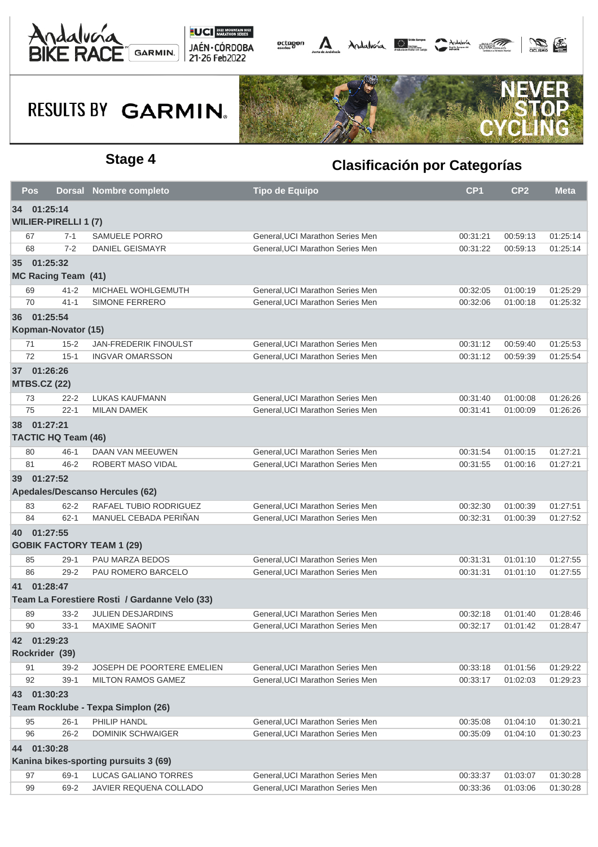





| <b>Pos</b> |                             | Dorsal Nombre completo                        | <b>Tipo de Equipo</b>            | CP <sub>1</sub> | CP <sub>2</sub> | <b>Meta</b> |
|------------|-----------------------------|-----------------------------------------------|----------------------------------|-----------------|-----------------|-------------|
|            | 34 01:25:14                 |                                               |                                  |                 |                 |             |
|            | <b>WILIER-PIRELLI 1 (7)</b> |                                               |                                  |                 |                 |             |
| 67         | $7 - 1$                     | <b>SAMUELE PORRO</b>                          | General, UCI Marathon Series Men | 00:31:21        | 00:59:13        | 01:25:14    |
| 68         | $7 - 2$                     | <b>DANIEL GEISMAYR</b>                        | General, UCI Marathon Series Men | 00:31:22        | 00:59:13        | 01:25:14    |
|            | 35 01:25:32                 |                                               |                                  |                 |                 |             |
|            | <b>MC Racing Team (41)</b>  |                                               |                                  |                 |                 |             |
| 69         | $41 - 2$                    | MICHAEL WOHLGEMUTH                            | General, UCI Marathon Series Men | 00:32:05        | 01:00:19        | 01:25:29    |
| 70         | $41 - 1$                    | <b>SIMONE FERRERO</b>                         | General, UCI Marathon Series Men | 00:32:06        | 01:00:18        | 01:25:32    |
|            | 36 01:25:54                 |                                               |                                  |                 |                 |             |
|            | Kopman-Novator (15)         |                                               |                                  |                 |                 |             |
| 71         | $15 - 2$                    | <b>JAN-FREDERIK FINOULST</b>                  | General, UCI Marathon Series Men | 00:31:12        | 00:59:40        | 01:25:53    |
| 72         | $15 - 1$                    | <b>INGVAR OMARSSON</b>                        | General, UCI Marathon Series Men | 00:31:12        | 00:59:39        | 01:25:54    |
|            | 37 01:26:26                 |                                               |                                  |                 |                 |             |
|            | <b>MTBS.CZ (22)</b>         |                                               |                                  |                 |                 |             |
| 73         | $22 - 2$                    | <b>LUKAS KAUFMANN</b>                         | General, UCI Marathon Series Men | 00:31:40        | 01:00:08        | 01:26:26    |
| 75         | $22 - 1$                    | <b>MILAN DAMEK</b>                            | General, UCI Marathon Series Men | 00:31:41        | 01:00:09        | 01:26:26    |
|            | 38 01:27:21                 |                                               |                                  |                 |                 |             |
|            | <b>TACTIC HQ Team (46)</b>  |                                               |                                  |                 |                 |             |
| 80         | $46 - 1$                    | DAAN VAN MEEUWEN                              | General, UCI Marathon Series Men | 00:31:54        | 01:00:15        | 01:27:21    |
| 81         | $46 - 2$                    | ROBERT MASO VIDAL                             | General, UCI Marathon Series Men | 00:31:55        | 01:00:16        | 01:27:21    |
|            | 39 01:27:52                 |                                               |                                  |                 |                 |             |
|            |                             | Apedales/Descanso Hercules (62)               |                                  |                 |                 |             |
| 83         | $62 - 2$                    | RAFAEL TUBIO RODRIGUEZ                        | General, UCI Marathon Series Men | 00:32:30        | 01:00:39        | 01:27:51    |
| 84         | $62 - 1$                    | MANUEL CEBADA PERIÑAN                         | General, UCI Marathon Series Men | 00:32:31        | 01:00:39        | 01:27:52    |
|            | 40 01:27:55                 |                                               |                                  |                 |                 |             |
|            |                             | <b>GOBIK FACTORY TEAM 1 (29)</b>              |                                  |                 |                 |             |
| 85         | $29-1$                      | PAU MARZA BEDOS                               | General, UCI Marathon Series Men | 00:31:31        | 01:01:10        | 01:27:55    |
| 86         | $29 - 2$                    | PAU ROMERO BARCELO                            | General, UCI Marathon Series Men | 00:31:31        | 01:01:10        | 01:27:55    |
|            | 41 01:28:47                 |                                               |                                  |                 |                 |             |
|            |                             | Team La Forestiere Rosti / Gardanne Velo (33) |                                  |                 |                 |             |
| 89         | $33 - 2$                    | <b>JULIEN DESJARDINS</b>                      | General, UCI Marathon Series Men | 00:32:18        | 01:01:40        | 01:28:46    |
| 90         | $33-1$                      | <b>MAXIME SAONIT</b>                          | General. UCI Marathon Series Men | 00:32:17        | 01:01:42        | 01:28:47    |
|            | 42 01:29:23                 |                                               |                                  |                 |                 |             |
|            | Rockrider (39)              |                                               |                                  |                 |                 |             |
| 91         | $39 - 2$                    | JOSEPH DE POORTERE EMELIEN                    | General, UCI Marathon Series Men | 00:33:18        | 01:01:56        | 01:29:22    |
| 92         | $39-1$                      | <b>MILTON RAMOS GAMEZ</b>                     | General, UCI Marathon Series Men | 00:33:17        | 01:02:03        | 01:29:23    |
|            | 43 01:30:23                 |                                               |                                  |                 |                 |             |
|            |                             | Team Rocklube - Texpa Simplon (26)            |                                  |                 |                 |             |
| 95         | $26-1$                      | PHILIP HANDL                                  | General, UCI Marathon Series Men | 00:35:08        | 01:04:10        | 01:30:21    |
| 96         | $26 - 2$                    | <b>DOMINIK SCHWAIGER</b>                      | General, UCI Marathon Series Men | 00:35:09        | 01:04:10        | 01:30:23    |
|            | 44 01:30:28                 |                                               |                                  |                 |                 |             |
|            |                             | Kanina bikes-sporting pursuits 3 (69)         |                                  |                 |                 |             |
| 97         | 69-1                        | LUCAS GALIANO TORRES                          | General, UCI Marathon Series Men | 00:33:37        | 01:03:07        | 01:30:28    |
| 99         | 69-2                        | JAVIER REQUENA COLLADO                        | General, UCI Marathon Series Men | 00:33:36        | 01:03:06        | 01:30:28    |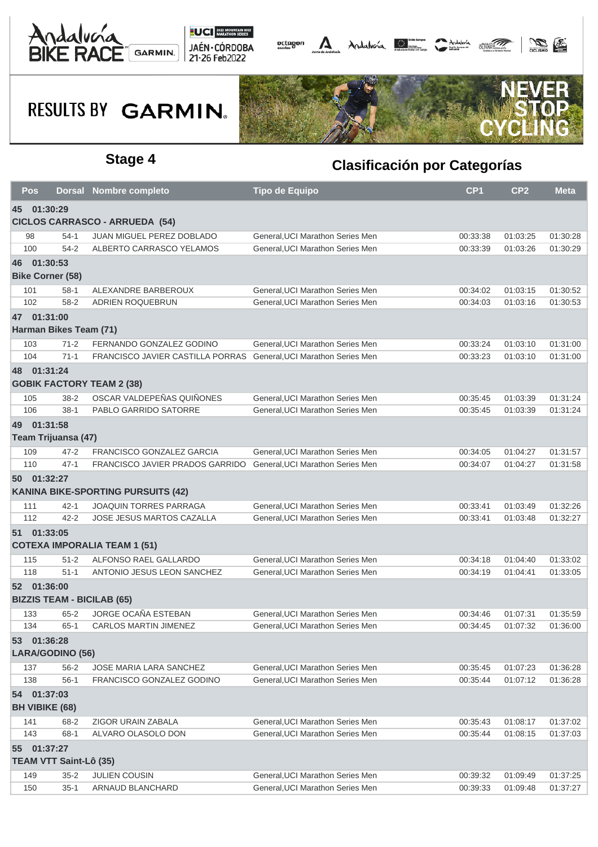





|                                                      | <b>Pos</b>                                   |          | <b>Dorsal Nombre completo</b>                                     | <b>Tipo de Equipo</b>            | CP <sub>1</sub> | CP <sub>2</sub> | <b>Meta</b> |  |
|------------------------------------------------------|----------------------------------------------|----------|-------------------------------------------------------------------|----------------------------------|-----------------|-----------------|-------------|--|
| 45 01:30:29<br><b>CICLOS CARRASCO - ARRUEDA (54)</b> |                                              |          |                                                                   |                                  |                 |                 |             |  |
|                                                      | 98                                           | $54-1$   | <b>JUAN MIGUEL PEREZ DOBLADO</b>                                  | General, UCI Marathon Series Men | 00:33:38        | 01:03:25        | 01:30:28    |  |
|                                                      | 100                                          | $54 - 2$ | ALBERTO CARRASCO YELAMOS                                          | General.UCI Marathon Series Men  | 00:33:39        | 01:03:26        | 01:30:29    |  |
|                                                      | 46 01:30:53                                  |          |                                                                   |                                  |                 |                 |             |  |
|                                                      | <b>Bike Corner (58)</b>                      |          |                                                                   |                                  |                 |                 |             |  |
|                                                      | 101                                          | $58-1$   | ALEXANDRE BARBEROUX                                               | General, UCI Marathon Series Men | 00:34:02        | 01:03:15        | 01:30:52    |  |
|                                                      | 102                                          | $58 - 2$ | ADRIEN ROQUEBRUN                                                  | General, UCI Marathon Series Men | 00:34:03        | 01:03:16        | 01:30:53    |  |
|                                                      | 47 01:31:00                                  |          |                                                                   |                                  |                 |                 |             |  |
|                                                      | Harman Bikes Team (71)                       |          |                                                                   |                                  |                 |                 |             |  |
|                                                      | 103                                          | $71 - 2$ | FERNANDO GONZALEZ GODINO                                          | General, UCI Marathon Series Men | 00:33:24        | 01:03:10        | 01:31:00    |  |
|                                                      | 104                                          | $71-1$   | FRANCISCO JAVIER CASTILLA PORRAS General, UCI Marathon Series Men |                                  | 00:33:23        | 01:03:10        | 01:31:00    |  |
|                                                      | 48 01:31:24                                  |          |                                                                   |                                  |                 |                 |             |  |
|                                                      |                                              |          | <b>GOBIK FACTORY TEAM 2 (38)</b>                                  |                                  |                 |                 |             |  |
|                                                      | 105                                          | $38 - 2$ | OSCAR VALDEPEÑAS QUIÑONES                                         | General, UCI Marathon Series Men | 00:35:45        | 01:03:39        | 01:31:24    |  |
|                                                      | 106                                          | $38-1$   | PABLO GARRIDO SATORRE                                             | General, UCI Marathon Series Men | 00:35:45        | 01:03:39        | 01:31:24    |  |
|                                                      | 49 01:31:58                                  |          |                                                                   |                                  |                 |                 |             |  |
|                                                      | Team Trijuansa (47)                          |          |                                                                   |                                  |                 |                 |             |  |
|                                                      | 109                                          | $47 - 2$ | FRANCISCO GONZALEZ GARCIA                                         | General, UCI Marathon Series Men | 00:34:05        | 01:04:27        | 01:31:57    |  |
|                                                      | 110                                          | $47 - 1$ | FRANCISCO JAVIER PRADOS GARRIDO                                   | General, UCI Marathon Series Men | 00:34:07        | 01:04:27        | 01:31:58    |  |
|                                                      | 50 01:32:27                                  |          |                                                                   |                                  |                 |                 |             |  |
|                                                      |                                              |          | <b>KANINA BIKE-SPORTING PURSUITS (42)</b>                         |                                  |                 |                 |             |  |
|                                                      | 111                                          | $42 - 1$ | <b>JOAQUIN TORRES PARRAGA</b>                                     | General, UCI Marathon Series Men | 00:33:41        | 01:03:49        | 01:32:26    |  |
|                                                      | 112                                          | $42 - 2$ | JOSE JESUS MARTOS CAZALLA                                         | General, UCI Marathon Series Men | 00:33:41        | 01:03:48        | 01:32:27    |  |
|                                                      | 51 01:33:05                                  |          |                                                                   |                                  |                 |                 |             |  |
|                                                      |                                              |          | <b>COTEXA IMPORALIA TEAM 1 (51)</b>                               |                                  |                 |                 |             |  |
|                                                      | 115                                          | $51 - 2$ | ALFONSO RAEL GALLARDO                                             | General, UCI Marathon Series Men | 00:34:18        | 01:04:40        | 01:33:02    |  |
|                                                      | 118                                          | $51 - 1$ | ANTONIO JESUS LEON SANCHEZ                                        | General, UCI Marathon Series Men | 00:34:19        | 01:04:41        | 01:33:05    |  |
|                                                      | 52 01:36:00                                  |          | <b>BIZZIS TEAM - BICILAB (65)</b>                                 |                                  |                 |                 |             |  |
|                                                      | 133                                          | $65 - 2$ | JORGE OCAÑA ESTEBAN                                               | General, UCI Marathon Series Men | 00:34:46        | 01:07:31        | 01:35:59    |  |
|                                                      | 134                                          | $65-1$   | CARLOS MARTIN JIMENEZ                                             | General, UCI Marathon Series Men | 00:34:45        | 01:07:32        | 01:36:00    |  |
|                                                      | 53 01:36:28<br>LARA/GODINO (56)              |          |                                                                   |                                  |                 |                 |             |  |
|                                                      | 137                                          | $56 - 2$ | JOSE MARIA LARA SANCHEZ                                           | General, UCI Marathon Series Men | 00:35:45        | 01:07:23        | 01:36:28    |  |
|                                                      | 138                                          | $56-1$   | FRANCISCO GONZALEZ GODINO                                         | General, UCI Marathon Series Men | 00:35:44        | 01:07:12        | 01:36:28    |  |
|                                                      | 54 01:37:03<br><b>BH VIBIKE (68)</b>         |          |                                                                   |                                  |                 |                 |             |  |
|                                                      | 141                                          | 68-2     | ZIGOR URAIN ZABALA                                                | General, UCI Marathon Series Men | 00:35:43        | 01:08:17        | 01:37:02    |  |
|                                                      | 143                                          | $68-1$   | ALVARO OLASOLO DON                                                | General, UCI Marathon Series Men | 00:35:44        | 01:08:15        | 01:37:03    |  |
|                                                      | 55 01:37:27<br><b>TEAM VTT Saint-Lô (35)</b> |          |                                                                   |                                  |                 |                 |             |  |
|                                                      | 149                                          | $35 - 2$ | JULIEN COUSIN                                                     | General, UCI Marathon Series Men | 00:39:32        | 01:09:49        | 01:37:25    |  |
|                                                      | 150                                          | $35 - 1$ | ARNAUD BLANCHARD                                                  | General, UCI Marathon Series Men | 00:39:33        | 01:09:48        | 01:37:27    |  |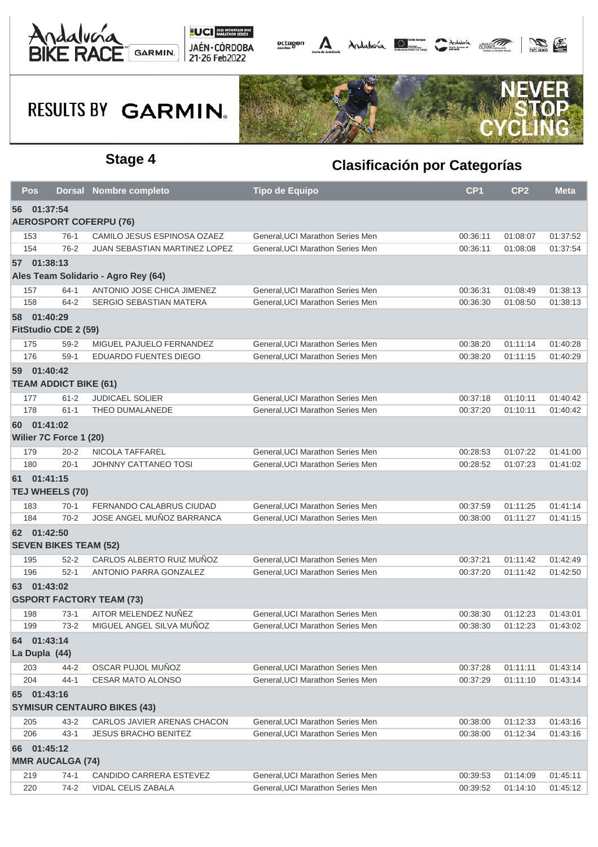





| <b>Pos</b> |                               | Dorsal Nombre completo              | <b>Tipo de Equipo</b>            | CP <sub>1</sub> | CP <sub>2</sub> | <b>Meta</b> |  |  |  |
|------------|-------------------------------|-------------------------------------|----------------------------------|-----------------|-----------------|-------------|--|--|--|
|            | 56 01:37:54                   |                                     |                                  |                 |                 |             |  |  |  |
|            | <b>AEROSPORT COFERPU (76)</b> |                                     |                                  |                 |                 |             |  |  |  |
| 153        | $76-1$                        | CAMILO JESUS ESPINOSA OZAEZ         | General, UCI Marathon Series Men | 00:36:11        | 01:08:07        | 01:37:52    |  |  |  |
| 154        | $76-2$                        | JUAN SEBASTIAN MARTINEZ LOPEZ       | General, UCI Marathon Series Men | 00:36:11        | 01:08:08        | 01:37:54    |  |  |  |
|            | 57 01:38:13                   |                                     |                                  |                 |                 |             |  |  |  |
|            |                               | Ales Team Solidario - Agro Rey (64) |                                  |                 |                 |             |  |  |  |
| 157        | $64-1$                        | ANTONIO JOSE CHICA JIMENEZ          | General, UCI Marathon Series Men | 00:36:31        | 01:08:49        | 01:38:13    |  |  |  |
| 158        | 64-2                          | SERGIO SEBASTIAN MATERA             | General, UCI Marathon Series Men | 00:36:30        | 01:08:50        | 01:38:13    |  |  |  |
|            | 58 01:40:29                   |                                     |                                  |                 |                 |             |  |  |  |
|            | FitStudio CDE 2 (59)          |                                     |                                  |                 |                 |             |  |  |  |
| 175        | $59 - 2$                      | MIGUEL PAJUELO FERNANDEZ            | General, UCI Marathon Series Men | 00:38:20        | 01:11:14        | 01:40:28    |  |  |  |
| 176        | $59-1$                        | EDUARDO FUENTES DIEGO               | General, UCI Marathon Series Men | 00:38:20        | 01:11:15        | 01:40:29    |  |  |  |
|            | 59 01:40:42                   |                                     |                                  |                 |                 |             |  |  |  |
|            | <b>TEAM ADDICT BIKE (61)</b>  |                                     |                                  |                 |                 |             |  |  |  |
| 177        | $61 - 2$                      | <b>JUDICAEL SOLIER</b>              | General, UCI Marathon Series Men | 00:37:18        | 01:10:11        | 01:40:42    |  |  |  |
| 178        | $61 - 1$                      | THEO DUMALANEDE                     | General.UCI Marathon Series Men  | 00:37:20        | 01:10:11        | 01:40:42    |  |  |  |
|            | 60 01:41:02                   |                                     |                                  |                 |                 |             |  |  |  |
|            | Wilier 7C Force 1 (20)        |                                     |                                  |                 |                 |             |  |  |  |
| 179        | $20 - 2$                      | NICOLA TAFFAREL                     | General, UCI Marathon Series Men | 00:28:53        | 01:07:22        | 01:41:00    |  |  |  |
| 180        | $20 - 1$                      | JOHNNY CATTANEO TOSI                | General, UCI Marathon Series Men | 00:28:52        | 01:07:23        | 01:41:02    |  |  |  |
|            | 61 01:41:15                   |                                     |                                  |                 |                 |             |  |  |  |
|            | TEJ WHEELS (70)               |                                     |                                  |                 |                 |             |  |  |  |
| 183        | $70-1$                        | FERNANDO CALABRUS CIUDAD            | General, UCI Marathon Series Men | 00:37:59        | 01:11:25        | 01:41:14    |  |  |  |
| 184        | $70-2$                        | JOSE ANGEL MUÑOZ BARRANCA           | General, UCI Marathon Series Men | 00:38:00        | 01:11:27        | 01:41:15    |  |  |  |
|            | 62 01:42:50                   |                                     |                                  |                 |                 |             |  |  |  |
|            | <b>SEVEN BIKES TEAM (52)</b>  |                                     |                                  |                 |                 |             |  |  |  |
| 195        | $52 - 2$                      | CARLOS ALBERTO RUIZ MUÑOZ           | General, UCI Marathon Series Men | 00:37:21        | 01:11:42        | 01:42:49    |  |  |  |
| 196        | $52-1$                        | ANTONIO PARRA GONZALEZ              | General, UCI Marathon Series Men | 00:37:20        | 01:11:42        | 01:42:50    |  |  |  |
|            | 63 01:43:02                   |                                     |                                  |                 |                 |             |  |  |  |
|            |                               | <b>GSPORT FACTORY TEAM (73)</b>     |                                  |                 |                 |             |  |  |  |
| 198        | $73-1$                        | AITOR MELENDEZ NUÑEZ                | General, UCI Marathon Series Men | 00:38:30        | 01:12:23        | 01:43:01    |  |  |  |
| 199        | $73-2$                        | MIGUEL ANGEL SILVA MUÑOZ            | General, UCI Marathon Series Men | 00:38:30        | 01:12:23        | 01:43:02    |  |  |  |
|            | 64 01:43:14                   |                                     |                                  |                 |                 |             |  |  |  |
|            | La Dupla (44)                 |                                     |                                  |                 |                 |             |  |  |  |
| 203        | 44-2                          | OSCAR PUJOL MUÑOZ                   | General, UCI Marathon Series Men | 00:37:28        | 01:11:11        | 01:43:14    |  |  |  |
| 204        | $44 - 1$                      | <b>CESAR MATO ALONSO</b>            | General, UCI Marathon Series Men | 00:37:29        | 01:11:10        | 01:43:14    |  |  |  |
|            | 65 01:43:16                   |                                     |                                  |                 |                 |             |  |  |  |
|            |                               | <b>SYMISUR CENTAURO BIKES (43)</b>  |                                  |                 |                 |             |  |  |  |
| 205        | $43 - 2$                      | CARLOS JAVIER ARENAS CHACON         | General, UCI Marathon Series Men | 00:38:00        | 01:12:33        | 01:43:16    |  |  |  |
| 206        | $43 - 1$                      | <b>JESUS BRACHO BENITEZ</b>         | General, UCI Marathon Series Men | 00:38:00        | 01:12:34        | 01:43:16    |  |  |  |
|            | 66 01:45:12                   |                                     |                                  |                 |                 |             |  |  |  |
|            | <b>MMR AUCALGA (74)</b>       |                                     |                                  |                 |                 |             |  |  |  |
| 219        | $74-1$                        | CANDIDO CARRERA ESTEVEZ             | General, UCI Marathon Series Men | 00:39:53        | 01:14:09        | 01:45:11    |  |  |  |
| 220        | $74-2$                        | VIDAL CELIS ZABALA                  | General, UCI Marathon Series Men | 00:39:52        | 01:14:10        | 01:45:12    |  |  |  |